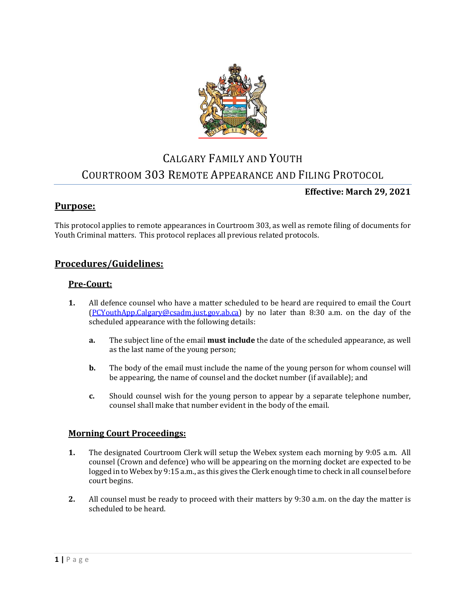

# CALGARY FAMILY AND YOUTH COURTROOM 303 REMOTE APPEARANCE AND FILING PROTOCOL

## **Effective: March 29, 2021**

## **Purpose:**

This protocol applies to remote appearances in Courtroom 303, as well as remote filing of documents for Youth Criminal matters. This protocol replaces all previous related protocols.

# **Procedures/Guidelines:**

## **Pre-Court:**

- **1.** All defence counsel who have a matter scheduled to be heard are required to email the Court [\(PCYouthApp.Calgary@csadm.just.gov.ab.ca\)](mailto:PCYouthApp.Calgary@csadm.just.gov.ab.ca) by no later than 8:30 a.m. on the day of the scheduled appearance with the following details:
	- **a.** The subject line of the email **must include** the date of the scheduled appearance, as well as the last name of the young person;
	- **b.** The body of the email must include the name of the young person for whom counsel will be appearing, the name of counsel and the docket number (if available); and
	- **c.** Should counsel wish for the young person to appear by a separate telephone number, counsel shall make that number evident in the body of the email.

#### **Morning Court Proceedings:**

- **1.** The designated Courtroom Clerk will setup the Webex system each morning by 9:05 a.m. All counsel (Crown and defence) who will be appearing on the morning docket are expected to be logged in to Webex by 9:15 a.m., as this gives the Clerk enough time to check in all counsel before court begins.
- **2.** All counsel must be ready to proceed with their matters by 9:30 a.m. on the day the matter is scheduled to be heard.